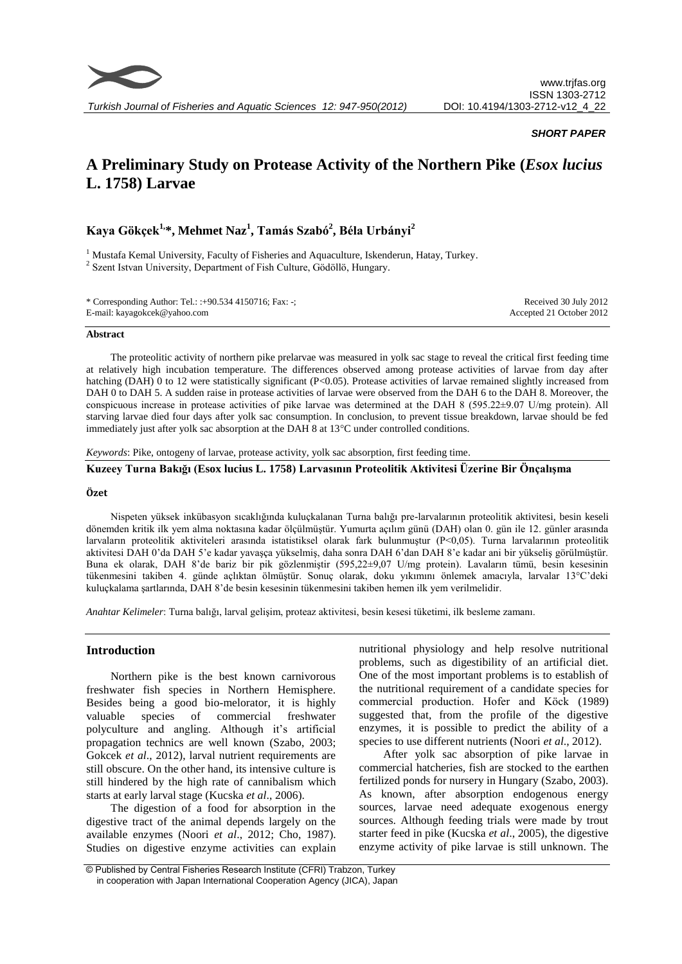

## *SHORT PAPER*

# **A Preliminary Study on Protease Activity of the Northern Pike (***Esox lucius* **L. 1758) Larvae**

# **Kaya Gökçek1, \*, Mehmet Naz<sup>1</sup> , Tamás Szabó<sup>2</sup> , Béla Urbányi<sup>2</sup>**

<sup>1</sup> Mustafa Kemal University, Faculty of Fisheries and Aquaculture, Iskenderun, Hatay, Turkey. <sup>2</sup> Szent Istvan University, Department of Fish Culture, Gödöllö, Hungary.

| * Corresponding Author: Tel.: :+90.534 4150716; Fax: -; | Received 30 July 2012    |
|---------------------------------------------------------|--------------------------|
| E-mail: kayagokcek@yahoo.com                            | Accepted 21 October 2012 |

#### **Abstract**

The proteolitic activity of northern pike prelarvae was measured in yolk sac stage to reveal the critical first feeding time at relatively high incubation temperature. The differences observed among protease activities of larvae from day after hatching (DAH) 0 to 12 were statistically significant (P<0.05). Protease activities of larvae remained slightly increased from DAH 0 to DAH 5. A sudden raise in protease activities of larvae were observed from the DAH 6 to the DAH 8. Moreover, the conspicuous increase in protease activities of pike larvae was determined at the DAH 8 (595.22±9.07 U/mg protein). All starving larvae died four days after yolk sac consumption. In conclusion, to prevent tissue breakdown, larvae should be fed immediately just after yolk sac absorption at the DAH 8 at 13°C under controlled conditions.

*Keywords*: Pike, ontogeny of larvae, protease activity, yolk sac absorption, first feeding time.

## **Kuzeey Turna Bakığı (Esox lucius L. 1758) Larvasının Proteolitik Aktivitesi Üzerine Bir Önçalışma**

#### **Özet**

Nispeten yüksek inkübasyon sıcaklığında kuluçkalanan Turna balığı pre-larvalarının proteolitik aktivitesi, besin keseli dönemden kritik ilk yem alma noktasına kadar ölçülmüştür. Yumurta açılım günü (DAH) olan 0. gün ile 12. günler arasında larvaların proteolitik aktiviteleri arasında istatistiksel olarak fark bulunmuştur (P<0,05). Turna larvalarının proteolitik aktivitesi DAH 0'da DAH 5'e kadar yavaşça yükselmiş, daha sonra DAH 6'dan DAH 8'e kadar ani bir yükseliş görülmüştür. Buna ek olarak, DAH 8'de bariz bir pik gözlenmiştir (595,22±9,07 U/mg protein). Lavaların tümü, besin kesesinin tükenmesini takiben 4. günde açlıktan ölmüştür. Sonuç olarak, doku yıkımını önlemek amacıyla, larvalar 13°C'deki kuluçkalama şartlarında, DAH 8'de besin kesesinin tükenmesini takiben hemen ilk yem verilmelidir.

*Anahtar Kelimeler*: Turna balığı, larval gelişim, proteaz aktivitesi, besin kesesi tüketimi, ilk besleme zamanı.

## **Introduction**

Northern pike is the best known carnivorous freshwater fish species in Northern Hemisphere. Besides being a good bio-melorator, it is highly valuable species of commercial freshwater polyculture and angling. Although it's artificial propagation technics are well known (Szabo, 2003; Gokcek *et al*., 2012), larval nutrient requirements are still obscure. On the other hand, its intensive culture is still hindered by the high rate of cannibalism which starts at early larval stage (Kucska *et al*., 2006).

The digestion of a food for absorption in the digestive tract of the animal depends largely on the available enzymes (Noori *et al*., 2012; Cho, 1987). Studies on digestive enzyme activities can explain nutritional physiology and help resolve nutritional problems, such as digestibility of an artificial diet. One of the most important problems is to establish of the nutritional requirement of a candidate species for commercial production. Hofer and Köck (1989) suggested that, from the profile of the digestive enzymes, it is possible to predict the ability of a species to use different nutrients (Noori *et al*., 2012).

After yolk sac absorption of pike larvae in commercial hatcheries, fish are stocked to the earthen fertilized ponds for nursery in Hungary (Szabo, 2003). As known, after absorption endogenous energy sources, larvae need adequate exogenous energy sources. Although feeding trials were made by trout starter feed in pike (Kucska *et al*., 2005), the digestive enzyme activity of pike larvae is still unknown. The

<sup>©</sup> Published by Central Fisheries Research Institute (CFRI) Trabzon, Turkey in cooperation with Japan International Cooperation Agency (JICA), Japan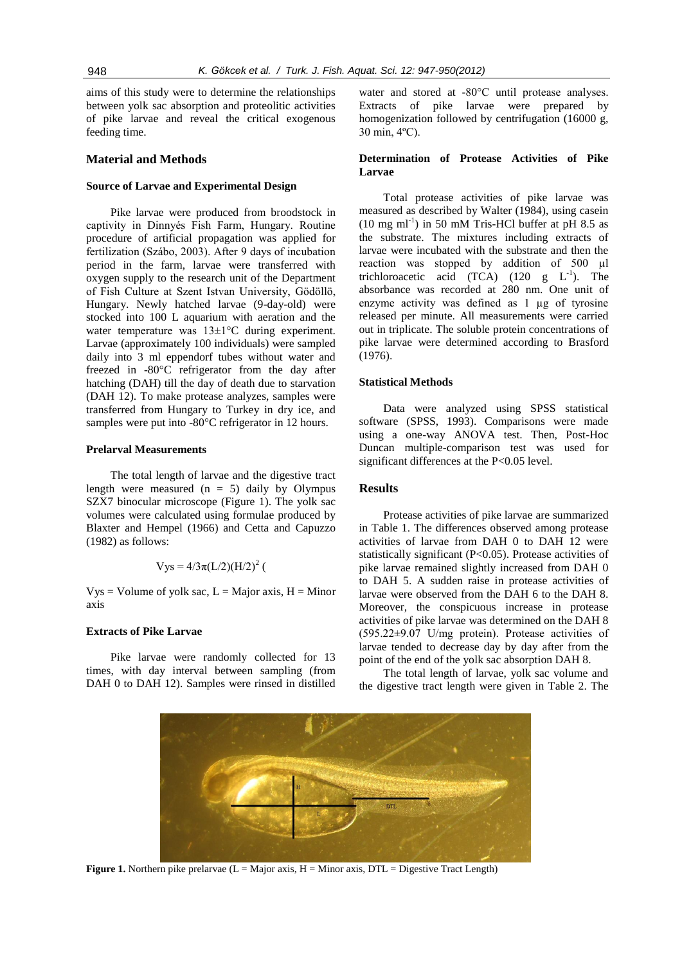aims of this study were to determine the relationships between yolk sac absorption and proteolitic activities of pike larvae and reveal the critical exogenous feeding time.

## **Material and Methods**

#### **Source of Larvae and Experimental Design**

Pike larvae were produced from broodstock in captivity in Dinnyés Fish Farm, Hungary. Routine procedure of artificial propagation was applied for fertilization (Szábo, 2003). After 9 days of incubation period in the farm, larvae were transferred with oxygen supply to the research unit of the Department of Fish Culture at Szent Istvan University, Gödöllö, Hungary. Newly hatched larvae (9-day-old) were stocked into 100 L aquarium with aeration and the water temperature was  $13\pm1\degree C$  during experiment. Larvae (approximately 100 individuals) were sampled daily into 3 ml eppendorf tubes without water and freezed in -80°C refrigerator from the day after hatching (DAH) till the day of death due to starvation (DAH 12). To make protease analyzes, samples were transferred from Hungary to Turkey in dry ice, and samples were put into -80°C refrigerator in 12 hours.

#### **Prelarval Measurements**

The total length of larvae and the digestive tract length were measured  $(n = 5)$  daily by Olympus SZX7 binocular microscope (Figure 1). The yolk sac volumes were calculated using formulae produced by Blaxter and Hempel (1966) and Cetta and Capuzzo (1982) as follows:

$$
Vys = 4/3\pi (L/2)(H/2)^2
$$
 (

 $Vys = Volume of yolk sac, L = Major axis, H = Minor$ axis

## **Extracts of Pike Larvae**

Pike larvae were randomly collected for 13 times, with day interval between sampling (from DAH 0 to DAH 12). Samples were rinsed in distilled water and stored at -80°C until protease analyses. Extracts of pike larvae were prepared by homogenization followed by centrifugation (16000 g, 30 min, 4ºC).

## **Determination of Protease Activities of Pike Larvae**

Total protease activities of pike larvae was measured as described by Walter (1984), using casein  $(10 \text{ mg ml}^{-1})$  in 50 mM Tris-HCl buffer at pH 8.5 as the substrate. The mixtures including extracts of larvae were incubated with the substrate and then the reaction was stopped by addition of 500 µl trichloroacetic acid  $(TCA)$  (120 g  $L^{-1}$ ). The absorbance was recorded at 280 nm. One unit of enzyme activity was defined as 1 µg of tyrosine released per minute. All measurements were carried out in triplicate. The soluble protein concentrations of pike larvae were determined according to Brasford (1976).

## **Statistical Methods**

Data were analyzed using SPSS statistical software (SPSS, 1993). Comparisons were made using a one-way ANOVA test. Then, Post-Hoc Duncan multiple-comparison test was used for significant differences at the P<0.05 level.

## **Results**

Protease activities of pike larvae are summarized in Table 1. The differences observed among protease activities of larvae from DAH 0 to DAH 12 were statistically significant (P<0.05). Protease activities of pike larvae remained slightly increased from DAH 0 to DAH 5. A sudden raise in protease activities of larvae were observed from the DAH 6 to the DAH 8. Moreover, the conspicuous increase in protease activities of pike larvae was determined on the DAH 8 (595.22±9.07 U/mg protein). Protease activities of larvae tended to decrease day by day after from the point of the end of the yolk sac absorption DAH 8.

The total length of larvae, yolk sac volume and the digestive tract length were given in Table 2. The



**Figure 1.** Northern pike prelarvae ( $L =$  Major axis,  $H =$  Minor axis,  $DTL =$  Digestive Tract Length)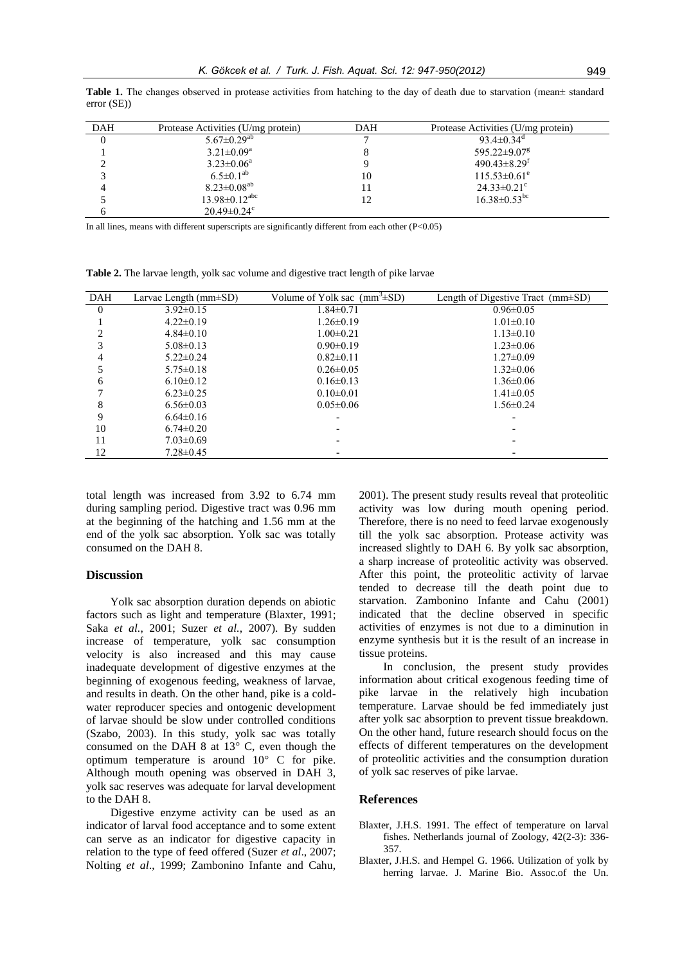**Table 1.** The changes observed in protease activities from hatching to the day of death due to starvation (mean± standard error (SE))

| <b>DAH</b> | Protease Activities (U/mg protein) | DAH | Protease Activities (U/mg protein) |
|------------|------------------------------------|-----|------------------------------------|
|            | $5.67 \pm 0.29$ <sup>ab</sup>      |     | 93.4 $\pm$ 0.34 <sup>d</sup>       |
|            | $3.21 \pm 0.09^a$                  |     | $595.22 \pm 9.07$ <sup>g</sup>     |
|            | $3.23 \pm 0.06^a$                  |     | $490.43 \pm 8.29$ <sup>t</sup>     |
|            | $6.5 \pm 0.1^{ab}$                 | 10  | $115.53 \pm 0.61^e$                |
|            | $8.23 \pm 0.08^{ab}$               | l l | $24.33 \pm 0.21$ °                 |
|            | $13.98 \pm 0.12$ <sup>abc</sup>    | 12  | $16.38 \pm 0.53$ <sup>bc</sup>     |
|            | $20.49 \pm 0.24$ °                 |     |                                    |

In all lines, means with different superscripts are significantly different from each other  $(P<0.05)$ 

**Table 2.** The larvae length, yolk sac volume and digestive tract length of pike larvae

| <b>DAH</b>     | Larvae Length $(mm\pm SD)$ | Volume of Yolk sac $(mm^3 \pm SD)$ | Length of Digestive Tract $(mm\pm SD)$ |
|----------------|----------------------------|------------------------------------|----------------------------------------|
| $\overline{0}$ | $3.92 \pm 0.15$            | $1.84 \pm 0.71$                    | $0.96 \pm 0.05$                        |
|                | $4.22 \pm 0.19$            | $1.26 \pm 0.19$                    | $1.01 \pm 0.10$                        |
|                | $4.84\pm0.10$              | $1.00 \pm 0.21$                    | $1.13 \pm 0.10$                        |
| 3              | $5.08 \pm 0.13$            | $0.90 \pm 0.19$                    | $1.23 \pm 0.06$                        |
| 4              | $5.22 \pm 0.24$            | $0.82 \pm 0.11$                    | $1.27 \pm 0.09$                        |
|                | $5.75 \pm 0.18$            | $0.26 \pm 0.05$                    | $1.32 \pm 0.06$                        |
| 6              | $6.10\pm0.12$              | $0.16 \pm 0.13$                    | $1.36 \pm 0.06$                        |
|                | $6.23 \pm 0.25$            | $0.10 \pm 0.01$                    | $1.41 \pm 0.05$                        |
| 8              | $6.56 \pm 0.03$            | $0.05 \pm 0.06$                    | $1.56 \pm 0.24$                        |
| 9              | $6.64\pm0.16$              |                                    |                                        |
| 10             | $6.74 \pm 0.20$            |                                    |                                        |
| 11             | $7.03 \pm 0.69$            |                                    |                                        |
| 12             | $7.28 \pm 0.45$            |                                    |                                        |

total length was increased from 3.92 to 6.74 mm during sampling period. Digestive tract was 0.96 mm at the beginning of the hatching and 1.56 mm at the end of the yolk sac absorption. Yolk sac was totally consumed on the DAH 8.

## **Discussion**

Yolk sac absorption duration depends on abiotic factors such as light and temperature (Blaxter, 1991; Saka *et al.*, 2001; Suzer *et al.*, 2007). By sudden increase of temperature, yolk sac consumption velocity is also increased and this may cause inadequate development of digestive enzymes at the beginning of exogenous feeding, weakness of larvae, and results in death. On the other hand, pike is a coldwater reproducer species and ontogenic development of larvae should be slow under controlled conditions (Szabo, 2003). In this study, yolk sac was totally consumed on the DAH 8 at 13° C, even though the optimum temperature is around 10° C for pike. Although mouth opening was observed in DAH 3, yolk sac reserves was adequate for larval development to the DAH 8.

Digestive enzyme activity can be used as an indicator of larval food acceptance and to some extent can serve as an indicator for digestive capacity in relation to the type of feed offered (Suzer *et al*., 2007; Nolting *et al*., 1999; Zambonino Infante and Cahu, 2001). The present study results reveal that proteolitic activity was low during mouth opening period. Therefore, there is no need to feed larvae exogenously till the yolk sac absorption. Protease activity was increased slightly to DAH 6. By yolk sac absorption, a sharp increase of proteolitic activity was observed. After this point, the proteolitic activity of larvae tended to decrease till the death point due to starvation. Zambonino Infante and Cahu (2001) indicated that the decline observed in specific activities of enzymes is not due to a diminution in enzyme synthesis but it is the result of an increase in tissue proteins.

In conclusion, the present study provides information about critical exogenous feeding time of pike larvae in the relatively high incubation temperature. Larvae should be fed immediately just after yolk sac absorption to prevent tissue breakdown. On the other hand, future research should focus on the effects of different temperatures on the development of proteolitic activities and the consumption duration of yolk sac reserves of pike larvae.

#### **References**

- Blaxter, J.H.S. 1991. The effect of temperature on larval fishes. Netherlands journal of Zoology, 42(2-3): 336- 357.
- Blaxter, J.H.S. and Hempel G. 1966. Utilization of yolk by herring larvae. J. Marine Bio. Assoc.of the Un.